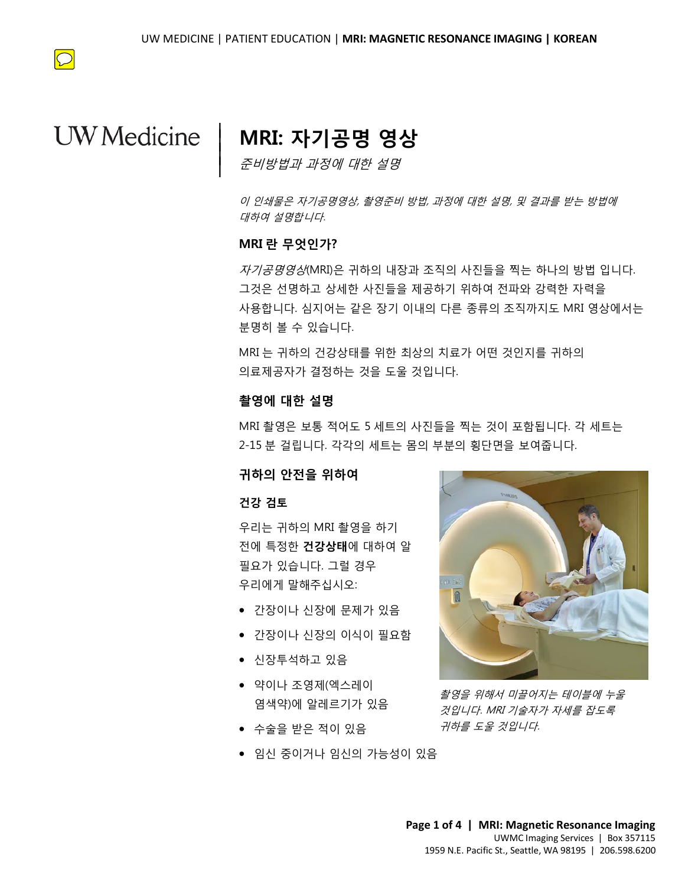

# **UW** Medicine

## **MRI: 자기공명 영상**

준비방법과 과정에 대한 설명

이 인쇄물은 자기공명영상, 촬영준비 방법, 과정에 대한 설명, 및 결과를 받는 방법에 대하여 설명합니다.

### **MRI 란 무엇인가?**

 $\overline{\phantom{a}}$  $\vert$  $\vert$  $\vert$ 

**MRI 란 무엇인가?**<br>*자기공명영상*(MRI)은 귀하의 내장과 조직의 사진들을 찍는 하나의 방법 입니<br>그것은 선명하고 상세한 사진들을 제공하기 위하여 전파와 강력한 자력을<br><br>시용합니다. 신것있는 같은 장권 인내의 단료 종료인 조진까지도 MPI 연산에 *자기공명영상*(MRI)은 귀하의 내장과 조직의 사진들을 찍는 하나의 방법 입니다. 그것은 선명하고 상세한 사진들을 제공하기 위하여 전파와 강력한 자력을 사용합니다. 심지어는 같은 장기 이내의 다른 종류의 조직까지도 MRI 영상에서는 분명히 볼 수 있습니다.

> MRI 는 귀하의 건강상태를 위한 최상의 치료가 어떤 것인지를 귀하의 의료제공자가 결정하는 것을 도울 것입니다.

### **촬영에 대한 설명**

MRI 는 귀하의 건강상태를 위한 최상의 치료가 어떤 것인지를 귀하의<br>의료제공자가 결정하는 것을 도울 것입니다.<br>**촬영에 대한 설명**<br>MRI 촬영은 보통 적어도 5 세트의 사진들을 찍는 것이 포함됩니다. 각 세트<br>2-15 분 걸립니다. 각각의 세트는 몸의 부분의 횡단면을 보여줍니다.<br>2-15 분 걸립니다. 각각의 세트는 몸의 부분의 횡단면을 보여줍니다. 으로 사용 시간으로 있습니다.<br>의료제공자가 결정하는 것을 도울 것입니다.<br>**촬영에 대한 설명**<br>MRI 촬영은 보통 적어도 5 세트의 사진들을 찍는 것이 포함됩니다. 각 세!<br>2-15 분 걸립니다. 각각의 세트는 몸의 부분의 횡단면을 보여줍니다.<br>**귀하의 안전을 위하여** MRI 촬영은 보통 적어도 5 세트의 사진들을 찍는 것이 포함됩니다. 각 세트는 2-15 분 걸립니다. 각각의 세트는 몸의 부분의 횡단면을 보여줍니다.

### **귀하의 안전을 위하여**

#### **건강 검토**

우리는 귀하의 MRI 촬영을 하기 전에 특정한 **건강상태**에 대하여 알 필요가 있습니다. 그럴 경우 우리에게 말해주십시오:

- 간장이나 신장에 문제가 있음
- 간장이나 신장의 이식이 필요함
- 신장투석하고 있음
- 약이나 조영제(엑스레이 염색약)에 알레르기가 있음
- 수술을 받은 적이 있음
- 임신 중이거나 임신의 가능성이 있음

 $\_$  ,  $\_$  ,  $\_$  ,  $\_$  ,  $\_$  ,  $\_$  ,  $\_$  ,  $\_$  ,  $\_$  ,  $\_$  ,  $\_$  ,  $\_$  ,  $\_$  ,  $\_$  ,  $\_$  ,  $\_$  ,  $\_$  ,  $\_$  ,  $\_$  ,  $\_$  ,  $\_$  ,  $\_$  ,  $\_$  ,  $\_$  ,  $\_$  ,  $\_$  ,  $\_$  ,  $\_$  ,  $\_$  ,  $\_$  ,  $\_$  ,  $\_$  ,  $\_$  ,  $\_$  ,  $\_$  ,  $\_$  ,  $\_$  ,



촬영을 위해서 미끌어지는 테이블에 누울 것입니다. MRI 기술자가 자세를 잡도록 귀하를 도울 것입니다.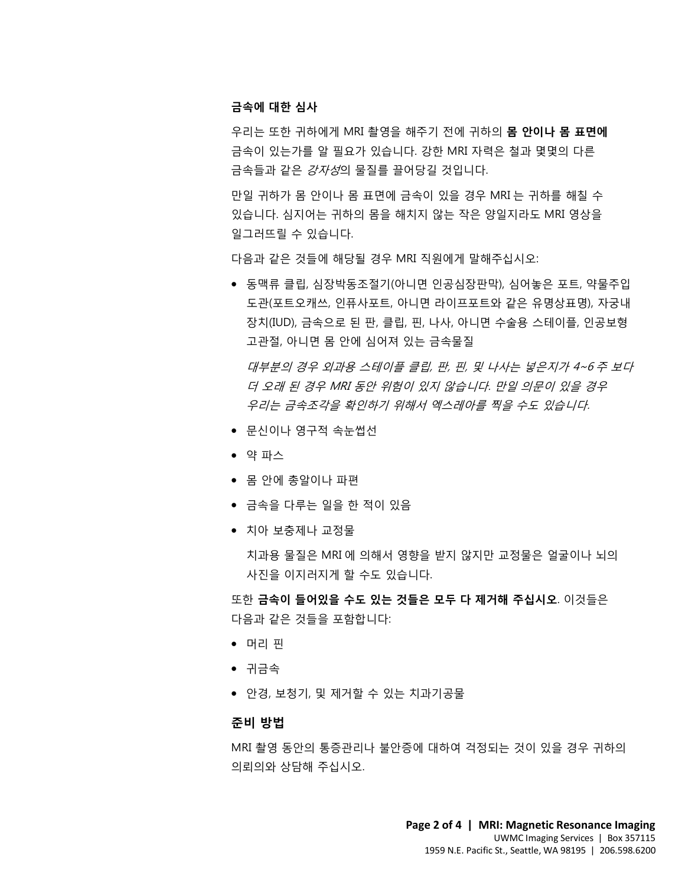#### **금속에 대한 심사**

우리는 또한 귀하에게 MRI 촬영을 해주기 전에 귀하의 **몸 안이나 몸 표면에** 금속이 있는가를 알 필요가 있습니다. 강한 MRI 자력은 철과 몇몇의 다른 금속들과 같은 강자성의 물질를 끌어당길 것입니다.

만일 귀하가 몸 안이나 몸 표면에 금속이 있을 경우 MRI 는 귀하를 해칠 수 있습니다. 심지어는 귀하의 몸을 해치지 않는 작은 양일지라도 MRI 영상을 일그러뜨릴 수 있습니다.

다음과 같은 것들에 해당될 경우 MRI 직원에게 말해주십시오:

다음과 같은 것들에 해당될 경우 MRI 직원에게 말해주십시오:<br>● 동맥류 클립, 심장박동조절기(아니면 인공심장판막), 심어놓은 포트, 약물주<br>도관(포트오캐쓰, 인퓨사포트, 아니면 라이프포트와 같은 유명상표명), 자궁 • 동맥류 클립, 심장박동조절기(아니면 인공심장판막), 심어놓은 포트, 약물주입 도관(포트오캐쓰, 인퓨사포트, 아니면 라이프포트와 같은 유명상표명), 자궁내 장치(IUD), 금속으로 된 판, 클립, 핀, 나사, 아니면 수술용 스테이플, 인공보형 고관절, 아니면 몸 안에 심어져 있는 금속물질

고관절, 아니면 몸 안에 심어져 있는 금속물질<br>*대부분의 경우 외과용 스테이플 클립, 판, 핀, 및 나사는 넣은지가 4~6 주 .<br>더 오래 된 경우 MRI 동안 위험이 있지 않습니다. 만일 의문이 있을 경우<br>우리는 금속조각을 확인하기 위해서 엑스레아를 찍을 수도 있습니다.*<br>• 문신이나 영구적 속눈썹선<br>• 약 파스 *대부분의 경우 외과용 스테이플 클립, 판, 핀, 및 나사는 넣은지가 4~6 <sup>2</sup><br>더 오래 된 경우 MRI 동안 위험이 있지 않습니다. 만일 의문이 있을 경우<br>우리는 금속조각을 확인하기 위해서 엑스레아를 찍을 수도 있습니다.*<br>● 문신이나 영구적 속눈썹선<br>● 약 파스 대부분의 경우 외과용 스테이플 클립, 판, 핀, 및 나사는 넣은지가 4~6 주 보다 더 오래 된 경우 MRI 동안 위험이 있지 않습니다. 만일 의문이 있을 경우 우리는 금속조각을 확인하기 위해서 엑스레아를 찍을 수도 있습니다.

- 문신이나 영구적 속눈썹선
- 약 파스
- 몸 안에 총알이나 파편
- 금속을 다루는 일을 한 적이 있음
- 치아 보충제나 교정물

치과용 물질은 MRI 에 의해서 영향을 받지 않지만 교정물은 얼굴이나 뇌의 사진을 이지러지게 할 수도 있습니다.

또한 **금속이 들어있을 수도 있는 것들은 모두 다 제거해 주십시오**. 이것들은 다음과 같은 것들을 포함합니다:

- 머리 핀
- 귀금속
- 안경, 보청기, 및 제거할 수 있는 치과기공물

 $\_$  ,  $\_$  ,  $\_$  ,  $\_$  ,  $\_$  ,  $\_$  ,  $\_$  ,  $\_$  ,  $\_$  ,  $\_$  ,  $\_$  ,  $\_$  ,  $\_$  ,  $\_$  ,  $\_$  ,  $\_$  ,  $\_$  ,  $\_$  ,  $\_$  ,  $\_$  ,  $\_$  ,  $\_$  ,  $\_$  ,  $\_$  ,  $\_$  ,  $\_$  ,  $\_$  ,  $\_$  ,  $\_$  ,  $\_$  ,  $\_$  ,  $\_$  ,  $\_$  ,  $\_$  ,  $\_$  ,  $\_$  ,  $\_$  ,

### **준비 방법**

MRI 촬영 동안의 통증관리나 불안증에 대하여 걱정되는 것이 있을 경우 귀하의 의뢰의와 상담해 주십시오.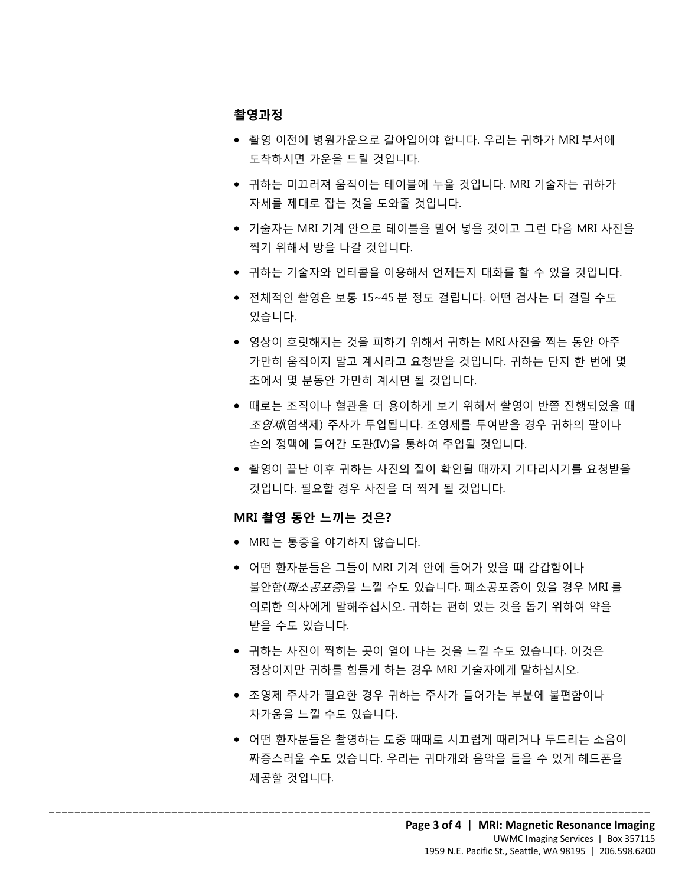### **촬영과정**

- 촬영 이전에 병원가운으로 갈아입어야 합니다. 우리는 귀하가 MRI 부서에 도착하시면 가운을 드릴 것입니다.
- 귀하는 미끄러져 움직이는 테이블에 누울 것입니다. MRI 기술자는 귀하가 자세를 제대로 잡는 것을 도와줄 것입니다.
- 기술자는 MRI 기계 안으로 테이블을 밀어 넣을 것이고 그런 다음 MRI 사진을 찍기 위해서 방을 나갈 것입니다.
- 귀하는 기술자와 인터콤을 이용해서 언제든지 대화를 할 수 있을 것입니다.
- 귀하는 기술자와 인터콤을 이용해서 언제든지 대화를 할 수 있을 것입니다.<br>● 전체적인 촬영은 보통 15~45 분 정도 걸립니다. 어떤 검사는 더 걸릴 수도<br>있습니다. • 전체적인 촬영은 보통 15~45 분 정도 걸립니다. 어떤 검사는 더 걸릴 수도 있습니다.
	- 영상이 흐릿해지는 것을 피하기 위해서 귀하는 MRI 사진을 찍는 동안 아주 가만히 움직이지 말고 계시라고 요청받을 것입니다. 귀하는 단지 한 번에 몇 초에서 몇 분동안 가만히 계시면 될 것입니다.
	- 가만히 움직이지 말고 계시라고 요청받을 것입니다. 귀하는 단지 한 번에 몇<br>초에서 몇 분동안 가만히 계시면 될 것입니다.<br>● 때로는 조직이나 혈관을 더 용이하게 보기 위해서 촬영이 반쯤 진행되었을 !<br>*조영제*(염색제) 주사가 투입됩니다. 조영제를 투여받을 경우 귀하의 팔이나<br>손의 정맥에 들어간 도관(Ⅳ)을 통하여 주입될 것입니다.<br>● 촬영이 끝난 이후 귀하는 사진의 질이 확인될 때까지 기다 ー " " ス 폰으는 구드 구 " " " 드 트 즈크 구 "<br>- 때로는 조직이나 혈관을 더 용이하게 보기 위해서 촬영이 반쯤 진행되었을 때<br>*조영재*(염색제) 주사가 투입됩니다. 조영제를 투여받을 경우 귀하의 팔이나<br>손의 정맥에 들어간 도관(IV)을 통하여 주입될 것입니다.<br>- 촬영이 끝난 이후 귀하는 사진의 질이 확인될 때까지 기다리시기를 요청받을<br>것입니다. 필요할 경우 사진을 더 찍게 될 • 때로는 조직이나 혈관을 더 용이하게 보기 위해서 촬영이 반쯤 진행되었을 때  $\overline{X}$ *영제*(염색제) 주사가 투입됩니다. 조영제를 투여받을 경우 귀하의 팔이나 손의 정맥에 들어간 도관(IV)을 통하여 주입될 것입니다.
		- 촬영이 끝난 이후 귀하는 사진의 질이 확인될 때까지 기다리시기를 요청받을 것입니다. 필요할 경우 사진을 더 찍게 될 것입니다.

### **MRI 촬영 동안 느끼는 것은?**

• MRI 는 통증을 야기하지 않습니다.

 $\_$  ,  $\_$  ,  $\_$  ,  $\_$  ,  $\_$  ,  $\_$  ,  $\_$  ,  $\_$  ,  $\_$  ,  $\_$  ,  $\_$  ,  $\_$  ,  $\_$  ,  $\_$  ,  $\_$  ,  $\_$  ,  $\_$  ,  $\_$  ,  $\_$  ,  $\_$  ,  $\_$  ,  $\_$  ,  $\_$  ,  $\_$  ,  $\_$  ,  $\_$  ,  $\_$  ,  $\_$  ,  $\_$  ,  $\_$  ,  $\_$  ,  $\_$  ,  $\_$  ,  $\_$  ,  $\_$  ,  $\_$  ,  $\_$  ,

- 어떤 환자분들은 그들이 MRI 기계 안에 들어가 있을 때 갑갑함이나 불안함(폐소공포증)을 느낄 수도 있습니다. 폐소공포증이 있을 경우 MRI 를 의뢰한 의사에게 말해주십시오. 귀하는 편히 있는 것을 돕기 위하여 약을 받을 수도 있습니다.
- 귀하는 사진이 찍히는 곳이 열이 나는 것을 느낄 수도 있습니다. 이것은 정상이지만 귀하를 힘들게 하는 경우 MRI 기술자에게 말하십시오.
- 조영제 주사가 필요한 경우 귀하는 주사가 들어가는 부분에 불편함이나 차가움을 느낄 수도 있습니다.
- 어떤 환자분들은 촬영하는 도중 때때로 시끄럽게 때리거나 두드리는 소음이 짜증스러울 수도 있습니다. 우리는 귀마개와 음악을 들을 수 있게 헤드폰을 제공할 것입니다.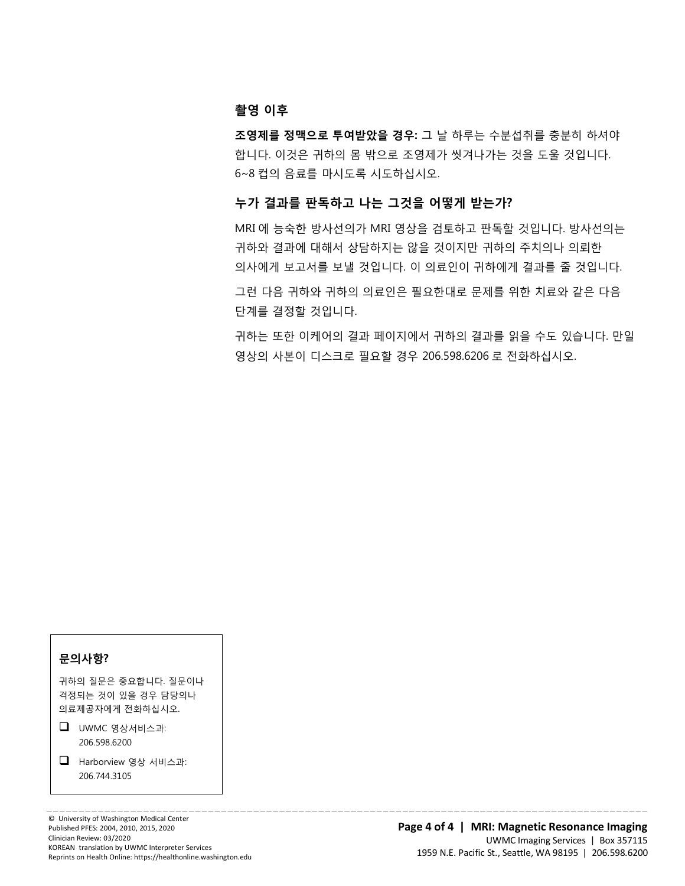#### **촬영 이후**

**조영제를 정맥으로 투여받았을 경우:** 그 날 하루는 수분섭취를 충분히 하셔야 합니다. 이것은 귀하의 몸 밖으로 조영제가 씻겨나가는 것을 도울 것입니다. 6~8 컵의 음료를 마시도록 시도하십시오.

### **누가 결과를 판독하고 나는 그것을 어떻게 받는가?**

 $\_$  ,  $\_$  ,  $\_$  ,  $\_$  ,  $\_$  ,  $\_$  ,  $\_$  ,  $\_$  ,  $\_$  ,  $\_$  ,  $\_$  ,  $\_$  ,  $\_$  ,  $\_$  ,  $\_$  ,  $\_$  ,  $\_$  ,  $\_$  ,  $\_$  ,  $\_$  ,  $\_$  ,  $\_$  ,  $\_$  ,  $\_$  ,  $\_$  ,  $\_$  ,  $\_$  ,  $\_$  ,  $\_$  ,  $\_$  ,  $\_$  ,  $\_$  ,  $\_$  ,  $\_$  ,  $\_$  ,  $\_$  ,  $\_$  ,

MRI 에 능숙한 방사선의가 MRI 영상을 검토하고 판독할 것입니다. 방사선의는 귀하와 결과에 대해서 상담하지는 않을 것이지만 귀하의 주치의나 의뢰한

의사에게 보고서를 보낼 것입니다. 이 의료인이 귀하에게 결과를 줄 것입니다.<br>그런 다음 귀하와 귀하의 의료인은 필요한대로 문제를 위한 치료와 같은 다음<br>단계를 결정할 것입니다. 그런 다음 귀하와 귀하의 의료인은 필요한대로 문제를 위한 치료와 같은 다음 단계를 결정할 것입니다.

> 귀하는 또한 이케어의 결과 페이지에서 귀하의 결과를 읽을 수도 있습니다. 만일 영상의 사본이 디스크로 필요할 경우 206.598.6206 로 전화하십시오.

| 문의사항?                                                        |                                     |
|--------------------------------------------------------------|-------------------------------------|
| 귀하의 질문은 중요합니다. 질문이나<br>걱정되는 것이 있을 경우 담당의나<br>의료제공자에게 전화하십시오. |                                     |
| ப                                                            | UWMC 영상서비스과:<br>206 598 6200        |
| ப                                                            | Harborview 영상 서비스과:<br>206 744 3105 |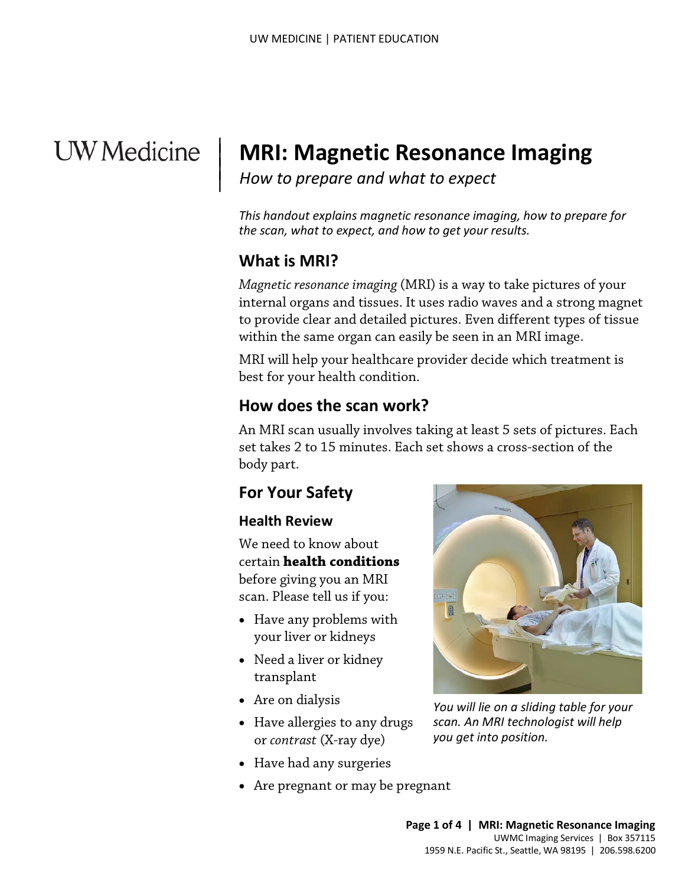# **UW** Medicine

# **MRI: Magnetic Resonance Imaging**

*How to prepare and what to expect*

*This handout explains magnetic resonance imaging, how to prepare for the scan, what to expect, and how to get your results.*

## **What is MRI?**

 $\overline{\phantom{a}}$  $\vert$  $\vert$  $\vert$ 

> *Magnetic resonance imaging* (MRI) is a way to take pictures of your internal organs and tissues. It uses radio waves and a strong magnet to provide clear and detailed pictures. Even different types of tissue within the same organ can easily be seen in an MRI image.

MRI will help your healthcare provider decide which treatment is best for your health condition.

### **How does the scan work?**

Within the same organ can easily be seen in an MNI image.<br>MRI will help your healthcare provider decide which treatment<br>best for your health condition.<br>**How does the scan work?**<br>An MRI scan usually involves taking at least An MRI scan usually involves taking at least 5 sets of pictures. Each set takes 2 to 15 minutes. Each set shows a cross-section of the body part.

## **For Your Safety**

### **Health Review**

We need to know about certain **health conditions** before giving you an MRI scan. Please tell us if you:

- Have any problems with your liver or kidneys
- Need a liver or kidney transplant
- Are on dialysis
- Have allergies to any drugs or *contrast* (X-ray dye)
- Have had any surgeries
- Are pregnant or may be pregnant

 $\_$  ,  $\_$  ,  $\_$  ,  $\_$  ,  $\_$  ,  $\_$  ,  $\_$  ,  $\_$  ,  $\_$  ,  $\_$  ,  $\_$  ,  $\_$  ,  $\_$  ,  $\_$  ,  $\_$  ,  $\_$  ,  $\_$  ,  $\_$  ,  $\_$  ,  $\_$  ,  $\_$  ,  $\_$  ,  $\_$  ,  $\_$  ,  $\_$  ,  $\_$  ,  $\_$  ,  $\_$  ,  $\_$  ,  $\_$  ,  $\_$  ,  $\_$  ,  $\_$  ,  $\_$  ,  $\_$  ,  $\_$  ,  $\_$  ,



*You will lie on a sliding table for your scan. An MRI technologist will help you get into position.*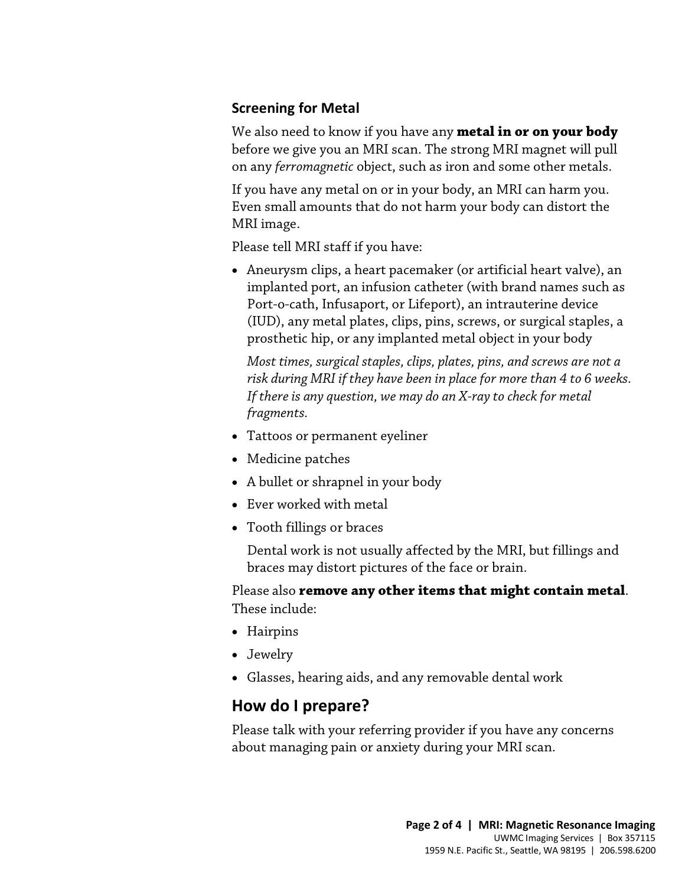### **Screening for Metal**

We also need to know if you have any **metal in or on your body** before we give you an MRI scan. The strong MRI magnet will pull on any *ferromagnetic* object, such as iron and some other metals.

If you have any metal on or in your body, an MRI can harm you. Even small amounts that do not harm your body can distort the MRI image.

Please tell MRI staff if you have:

• Aneurysm clips, a heart pacemaker (or artificial heart valve), an implanted port, an infusion catheter (with brand names such as Port-o-cath, Infusaport, or Lifeport), an intrauterine device (IUD), any metal plates, clips, pins, screws, or surgical staples, a prosthetic hip, or any implanted metal object in your body

prostnetic mp, or any implanted metal object in your body<br>
Most times, surgical staples, clips, plates, pins, and screws are not<br>
risk during MRI if they have been in place for more than 4 to 6 wee<br>
If there is any questio *Most times, surgical staples, clips, plates, pins, and screws are not a risk during MRI if they have been in place for more than 4 to 6 weeks. If there is any question, we may do an X-ray to check for metal fragments.* 

- Tattoos or permanent eyeliner
- Medicine patches
- A bullet or shrapnel in your body
- Ever worked with metal
- Tooth fillings or braces

Dental work is not usually affected by the MRI, but fillings and braces may distort pictures of the face or brain.

Please also **remove any other items that might contain metal**. These include:

- Hairpins
- Jewelry
- Glasses, hearing aids, and any removable dental work

## **How do I prepare?**

 $\_$  ,  $\_$  ,  $\_$  ,  $\_$  ,  $\_$  ,  $\_$  ,  $\_$  ,  $\_$  ,  $\_$  ,  $\_$  ,  $\_$  ,  $\_$  ,  $\_$  ,  $\_$  ,  $\_$  ,  $\_$  ,  $\_$  ,  $\_$  ,  $\_$  ,  $\_$  ,  $\_$  ,  $\_$  ,  $\_$  ,  $\_$  ,  $\_$  ,  $\_$  ,  $\_$  ,  $\_$  ,  $\_$  ,  $\_$  ,  $\_$  ,  $\_$  ,  $\_$  ,  $\_$  ,  $\_$  ,  $\_$  ,  $\_$  ,

Please talk with your referring provider if you have any concerns about managing pain or anxiety during your MRI scan.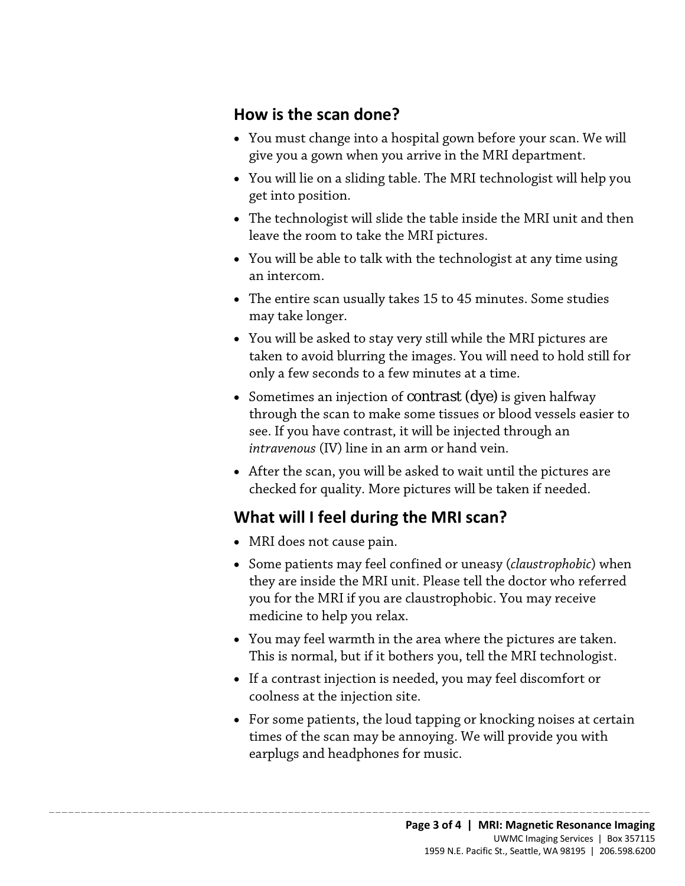## **How is the scan done?**

- You must change into a hospital gown before your scan. We will give you a gown when you arrive in the MRI department.
- You will lie on a sliding table. The MRI technologist will help you get into position.
- The technologist will slide the table inside the MRI unit and then leave the room to take the MRI pictures.
- You will be able to talk with the technologist at any time using an intercom.
- The entire scan usually takes 15 to 45 minutes. Some studies may take longer.
- You will be asked to stay very still while the MRI pictures are taken to avoid blurring the images. You will need to hold still for only a few seconds to a few minutes at a time.
- taken to avoid blurring the images. You will need to hold still fo<br>
only a few seconds to a few minutes at a time.<br>
 Sometimes an injection of *contrast* (dye) is given halfway<br>
through the scan to make some tissues or bl • Sometimes an injection of *contrast* (dye) is given halfway through the scan to make some tissues or blood vessels easier to see. If you have contrast, it will be injected through an *intravenous* (IV) line in an arm or hand vein.
	- After the scan, you will be asked to wait until the pictures are checked for quality. More pictures will be taken if needed.

## **What will I feel during the MRI scan?**

 $\Box$  . The contribution of the contribution of the contribution of the contribution of the contribution of the contribution of the contribution of the contribution of the contribution of the contribution of the contributi

- MRI does not cause pain.
- Some patients may feel confined or uneasy (*claustrophobic*) when they are inside the MRI unit. Please tell the doctor who referred you for the MRI if you are claustrophobic. You may receive medicine to help you relax.
- You may feel warmth in the area where the pictures are taken. This is normal, but if it bothers you, tell the MRI [technologist.](javascript:glossAry()
- If a contrast injection is needed, you may feel discomfort or coolness at the injection site.
- For some patients, the loud tapping or knocking noises at certain times of the scan may be annoying. We will provide you with earplugs and headphones for music.